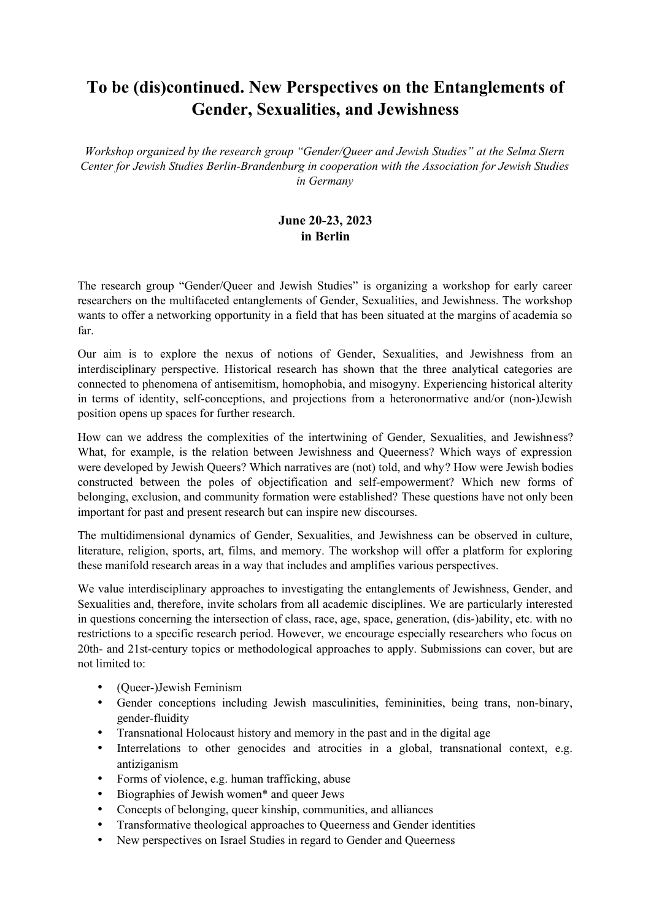## **To be (dis)continued. New Perspectives on the Entanglements of Gender, Sexualities, and Jewishness**

*Workshop organized by the research group "Gender/Queer and Jewish Studies" at the Selma Stern Center for Jewish Studies Berlin-Brandenburg in cooperation with the Association for Jewish Studies in Germany*

## **June 20-23, 2023 in Berlin**

The research group "Gender/Queer and Jewish Studies" is organizing a workshop for early career researchers on the multifaceted entanglements of Gender, Sexualities, and Jewishness. The workshop wants to offer a networking opportunity in a field that has been situated at the margins of academia so far.

Our aim is to explore the nexus of notions of Gender, Sexualities, and Jewishness from an interdisciplinary perspective. Historical research has shown that the three analytical categories are connected to phenomena of antisemitism, homophobia, and misogyny. Experiencing historical alterity in terms of identity, self-conceptions, and projections from a heteronormative and/or (non-)Jewish position opens up spaces for further research.

How can we address the complexities of the intertwining of Gender, Sexualities, and Jewishness? What, for example, is the relation between Jewishness and Queerness? Which ways of expression were developed by Jewish Queers? Which narratives are (not) told, and why? How were Jewish bodies constructed between the poles of objectification and self-empowerment? Which new forms of belonging, exclusion, and community formation were established? These questions have not only been important for past and present research but can inspire new discourses.

The multidimensional dynamics of Gender, Sexualities, and Jewishness can be observed in culture, literature, religion, sports, art, films, and memory. The workshop will offer a platform for exploring these manifold research areas in a way that includes and amplifies various perspectives.

We value interdisciplinary approaches to investigating the entanglements of Jewishness, Gender, and Sexualities and, therefore, invite scholars from all academic disciplines. We are particularly interested in questions concerning the intersection of class, race, age, space, generation, (dis-)ability, etc. with no restrictions to a specific research period. However, we encourage especially researchers who focus on 20th- and 21st-century topics or methodological approaches to apply. Submissions can cover, but are not limited to:

- (Queer-)Jewish Feminism
- Gender conceptions including Jewish masculinities, femininities, being trans, non-binary, gender-fluidity
- Transnational Holocaust history and memory in the past and in the digital age
- Interrelations to other genocides and atrocities in a global, transnational context, e.g. antiziganism
- Forms of violence, e.g. human trafficking, abuse
- Biographies of Jewish women\* and queer Jews
- Concepts of belonging, queer kinship, communities, and alliances
- Transformative theological approaches to Queerness and Gender identities
- New perspectives on Israel Studies in regard to Gender and Queerness